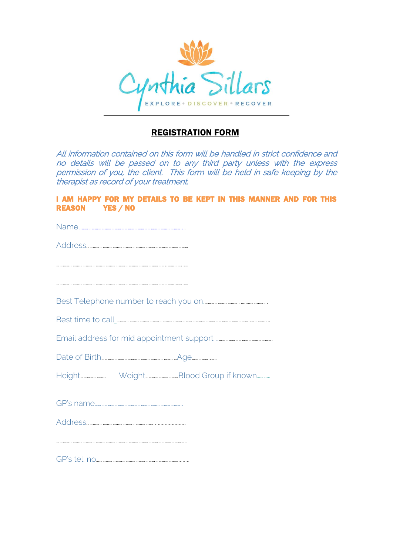

## REGISTRATION FORM

All information contained on this form will be handled in strict confidence and no details will be passed on to any third party unless with the express permission of you, the client. This form will be held in safe keeping by the therapist as record of your treatment.

I AM HAPPY FOR MY DETAILS TO BE KEPT IN THIS MANNER AND FOR THIS REASON YES / NO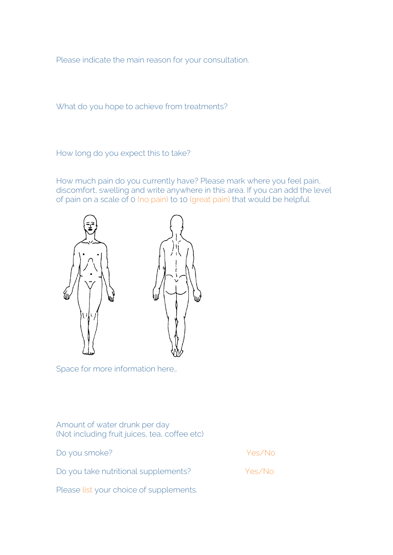Please indicate the main reason for your consultation.

What do you hope to achieve from treatments?

How long do you expect this to take?

How much pain do you currently have? Please mark where you feel pain, discomfort, swelling and write anywhere in this area. If you can add the level of pain on a scale of 0 (no pain) to 10 (great pain) that would be helpful.



Space for more information here…

Amount of water drunk per day (Not including fruit juices, tea, coffee etc)

| Do you smoke?                        | Yes/No |
|--------------------------------------|--------|
| Do you take nutritional supplements? | Yes/No |

Please list your choice of supplements.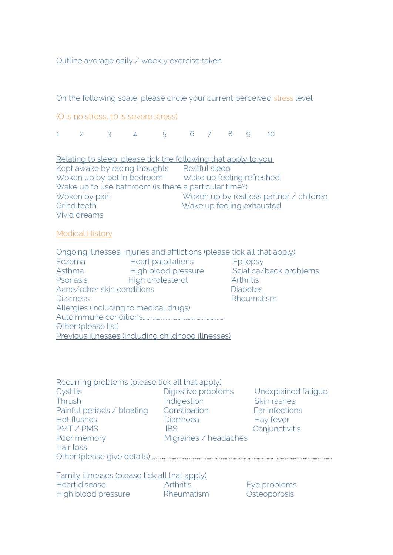Outline average daily / weekly exercise taken

On the following scale, please circle your current perceived stress level

(O is no stress, 10 is severe stress)

1 2 3 4 5 6 7 8 9 10

Relating to sleep, please tick the following that apply to you; Kept awake by racing thoughts Restful sleep Woken up by pet in bedroom Wake up feeling refreshed Wake up to use bathroom (is there a particular time?) Woken by pain Woken up by restless partner / children Grind teeth Wake up feeling exhausted Vivid dreams

## Medical History

Ongoing illnesses, injuries and afflictions (please tick all that apply)

Eczema Heart palpitations Epilepsy Asthma High blood pressure Sciatica/back problems Psoriasis High cholesterol Arthritis Acne/other skin conditions **Diabeters** Diabetes Dizziness **Rheumatism** Allergies (including to medical drugs) Autoimmune conditions………………….…………………………………………… Other (please list) Previous illnesses (including childhood illnesses)

Recurring problems (please tick all that apply) Cystitis Digestive problems Unexplained fatigue Thrush Indigestion Skin rashes Painful periods / bloating Constipation Ear infections Hot flushes **Example 20** Diarrhoea **Hay fever** PMT / PMS IBS Conjunctivitis Poor memory Migraines / headaches Hair loss

Other (please give details) …………………………………………………..…………………………………………………………………………………………..

Family illnesses (please tick all that apply) Heart disease **Arthritis** Eye problems High blood pressure Rheumatism Csteoporosis